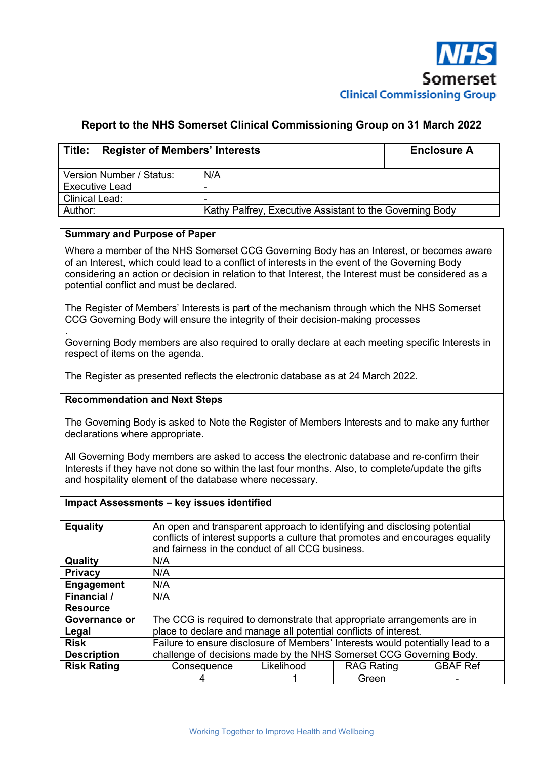

### **Report to the NHS Somerset Clinical Commissioning Group on 31 March 2022**

| Title:<br><b>Register of Members' Interests</b> | <b>Enclosure A</b>                                       |  |  |  |  |
|-------------------------------------------------|----------------------------------------------------------|--|--|--|--|
| Version Number / Status:                        | N/A                                                      |  |  |  |  |
| <b>Executive Lead</b>                           | -                                                        |  |  |  |  |
| <b>Clinical Lead:</b>                           |                                                          |  |  |  |  |
| Author:                                         | Kathy Palfrey, Executive Assistant to the Governing Body |  |  |  |  |

#### **Summary and Purpose of Paper**

Where a member of the NHS Somerset CCG Governing Body has an Interest, or becomes aware of an Interest, which could lead to a conflict of interests in the event of the Governing Body considering an action or decision in relation to that Interest, the Interest must be considered as a potential conflict and must be declared.

The Register of Members' Interests is part of the mechanism through which the NHS Somerset CCG Governing Body will ensure the integrity of their decision-making processes

. Governing Body members are also required to orally declare at each meeting specific Interests in respect of items on the agenda.

The Register as presented reflects the electronic database as at 24 March 2022.

#### **Recommendation and Next Steps**

The Governing Body is asked to Note the Register of Members Interests and to make any further declarations where appropriate.

All Governing Body members are asked to access the electronic database and re-confirm their Interests if they have not done so within the last four months. Also, to complete/update the gifts and hospitality element of the database where necessary.

|                    | Impact Assessments - key issues identified                                     |                                                                                                                                                                                                                |                   |                 |  |  |  |  |  |
|--------------------|--------------------------------------------------------------------------------|----------------------------------------------------------------------------------------------------------------------------------------------------------------------------------------------------------------|-------------------|-----------------|--|--|--|--|--|
| <b>Equality</b>    |                                                                                | An open and transparent approach to identifying and disclosing potential<br>conflicts of interest supports a culture that promotes and encourages equality<br>and fairness in the conduct of all CCG business. |                   |                 |  |  |  |  |  |
| Quality            | N/A                                                                            |                                                                                                                                                                                                                |                   |                 |  |  |  |  |  |
| <b>Privacy</b>     | N/A                                                                            |                                                                                                                                                                                                                |                   |                 |  |  |  |  |  |
| Engagement         | N/A                                                                            |                                                                                                                                                                                                                |                   |                 |  |  |  |  |  |
| <b>Financial</b> / | N/A                                                                            |                                                                                                                                                                                                                |                   |                 |  |  |  |  |  |
| <b>Resource</b>    |                                                                                |                                                                                                                                                                                                                |                   |                 |  |  |  |  |  |
| Governance or      | The CCG is required to demonstrate that appropriate arrangements are in        |                                                                                                                                                                                                                |                   |                 |  |  |  |  |  |
| Legal              | place to declare and manage all potential conflicts of interest.               |                                                                                                                                                                                                                |                   |                 |  |  |  |  |  |
| <b>Risk</b>        | Failure to ensure disclosure of Members' Interests would potentially lead to a |                                                                                                                                                                                                                |                   |                 |  |  |  |  |  |
| <b>Description</b> | challenge of decisions made by the NHS Somerset CCG Governing Body.            |                                                                                                                                                                                                                |                   |                 |  |  |  |  |  |
| <b>Risk Rating</b> | Consequence                                                                    | Likelihood                                                                                                                                                                                                     | <b>RAG Rating</b> | <b>GBAF Ref</b> |  |  |  |  |  |
|                    |                                                                                |                                                                                                                                                                                                                | Green             |                 |  |  |  |  |  |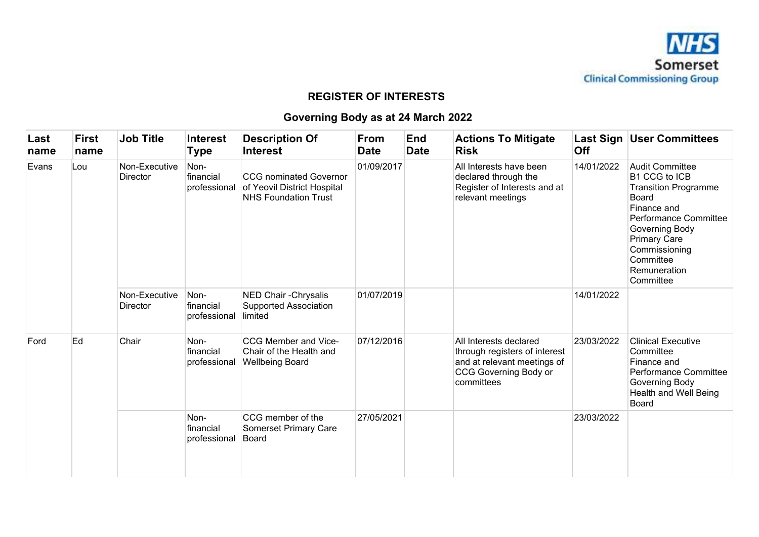

## **REGISTER OF INTERESTS**

# **Governing Body as at 24 March 2022**

| Last<br>name | First<br>name | <b>Job Title</b>                 | <b>Interest</b><br><b>Type</b>    | <b>Description Of</b><br><b>Interest</b>                                                    | From<br><b>Date</b> | <b>End</b><br><b>Date</b> | <b>Actions To Mitigate</b><br><b>Risk</b>                                                                                            | Off        | Last Sign   User Committees                                                                                                                                                                                                               |
|--------------|---------------|----------------------------------|-----------------------------------|---------------------------------------------------------------------------------------------|---------------------|---------------------------|--------------------------------------------------------------------------------------------------------------------------------------|------------|-------------------------------------------------------------------------------------------------------------------------------------------------------------------------------------------------------------------------------------------|
| Evans        | Lou           | Non-Executive<br><b>Director</b> | Non-<br>financial<br>professional | <b>CCG</b> nominated Governor<br>of Yeovil District Hospital<br><b>NHS Foundation Trust</b> | 01/09/2017          |                           | All Interests have been<br>declared through the<br>Register of Interests and at<br>relevant meetings                                 | 14/01/2022 | <b>Audit Committee</b><br><b>B1 CCG to ICB</b><br><b>Transition Programme</b><br><b>Board</b><br>Finance and<br>Performance Committee<br>Governing Body<br><b>Primary Care</b><br>Commissioning<br>Committee<br>Remuneration<br>Committee |
|              |               | Non-Executive<br><b>Director</b> | Non-<br>financial<br>professional | NED Chair - Chrysalis<br><b>Supported Association</b><br>limited                            | 01/07/2019          |                           |                                                                                                                                      | 14/01/2022 |                                                                                                                                                                                                                                           |
| Ford         | Ed            | Chair                            | Non-<br>financial<br>professional | CCG Member and Vice-<br>Chair of the Health and<br><b>Wellbeing Board</b>                   | 07/12/2016          |                           | All Interests declared<br>through registers of interest<br>and at relevant meetings of<br><b>CCG Governing Body or</b><br>committees | 23/03/2022 | <b>Clinical Executive</b><br>Committee<br>Finance and<br>Performance Committee<br>Governing Body<br>Health and Well Being<br>Board                                                                                                        |
|              |               |                                  | Non-<br>financial<br>professional | CCG member of the<br>Somerset Primary Care<br>Board                                         | 27/05/2021          |                           |                                                                                                                                      | 23/03/2022 |                                                                                                                                                                                                                                           |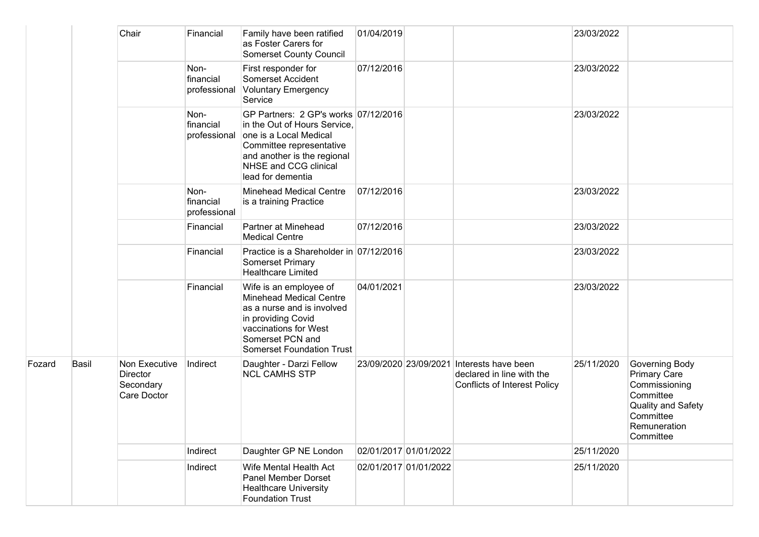|        |       | Chair                                                 | Financial                         | Family have been ratified<br>as Foster Carers for<br><b>Somerset County Council</b>                                                                                                                     | 01/04/2019 |                       |                                                                                                               | 23/03/2022 |                                                                                                                                     |
|--------|-------|-------------------------------------------------------|-----------------------------------|---------------------------------------------------------------------------------------------------------------------------------------------------------------------------------------------------------|------------|-----------------------|---------------------------------------------------------------------------------------------------------------|------------|-------------------------------------------------------------------------------------------------------------------------------------|
|        |       |                                                       | Non-<br>financial<br>professional | First responder for<br>Somerset Accident<br><b>Voluntary Emergency</b><br>Service                                                                                                                       | 07/12/2016 |                       |                                                                                                               | 23/03/2022 |                                                                                                                                     |
|        |       |                                                       | Non-<br>financial<br>professional | GP Partners: 2 GP's works 07/12/2016<br>in the Out of Hours Service,<br>one is a Local Medical<br>Committee representative<br>and another is the regional<br>NHSE and CCG clinical<br>lead for dementia |            |                       |                                                                                                               | 23/03/2022 |                                                                                                                                     |
|        |       |                                                       | Non-<br>financial<br>professional | <b>Minehead Medical Centre</b><br>is a training Practice                                                                                                                                                | 07/12/2016 |                       |                                                                                                               | 23/03/2022 |                                                                                                                                     |
|        |       |                                                       | Financial                         | Partner at Minehead<br><b>Medical Centre</b>                                                                                                                                                            | 07/12/2016 |                       |                                                                                                               | 23/03/2022 |                                                                                                                                     |
|        |       |                                                       | Financial                         | Practice is a Shareholder in 07/12/2016<br>Somerset Primary<br><b>Healthcare Limited</b>                                                                                                                |            |                       |                                                                                                               | 23/03/2022 |                                                                                                                                     |
|        |       |                                                       | Financial                         | Wife is an employee of<br><b>Minehead Medical Centre</b><br>as a nurse and is involved<br>in providing Covid<br>vaccinations for West<br>Somerset PCN and<br><b>Somerset Foundation Trust</b>           | 04/01/2021 |                       |                                                                                                               | 23/03/2022 |                                                                                                                                     |
| Fozard | Basil | Non Executive<br>Director<br>Secondary<br>Care Doctor | Indirect                          | Daughter - Darzi Fellow<br><b>NCL CAMHS STP</b>                                                                                                                                                         |            |                       | 23/09/2020 23/09/2021 Interests have been<br>declared in line with the<br><b>Conflicts of Interest Policy</b> | 25/11/2020 | Governing Body<br><b>Primary Care</b><br>Commissioning<br>Committee<br>Quality and Safety<br>Committee<br>Remuneration<br>Committee |
|        |       |                                                       | Indirect                          | Daughter GP NE London                                                                                                                                                                                   |            | 02/01/2017 01/01/2022 |                                                                                                               | 25/11/2020 |                                                                                                                                     |
|        |       |                                                       | Indirect                          | Wife Mental Health Act<br>Panel Member Dorset<br><b>Healthcare University</b><br><b>Foundation Trust</b>                                                                                                |            | 02/01/2017 01/01/2022 |                                                                                                               | 25/11/2020 |                                                                                                                                     |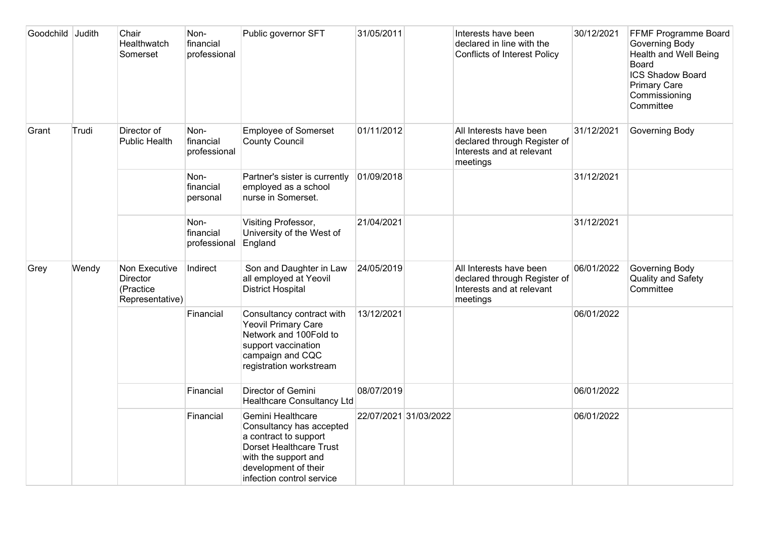| Goodchild Judith |       | Chair<br>Healthwatch<br>Somerset                          | Non-<br>financial<br>professional | Public governor SFT                                                                                                                                                                   | 31/05/2011            | Interests have been<br>declared in line with the<br><b>Conflicts of Interest Policy</b>          | 30/12/2021 | FFMF Programme Board<br><b>Governing Body</b><br><b>Health and Well Being</b><br>Board<br><b>ICS Shadow Board</b><br><b>Primary Care</b><br>Commissioning<br>Committee |
|------------------|-------|-----------------------------------------------------------|-----------------------------------|---------------------------------------------------------------------------------------------------------------------------------------------------------------------------------------|-----------------------|--------------------------------------------------------------------------------------------------|------------|------------------------------------------------------------------------------------------------------------------------------------------------------------------------|
| Grant            | Trudi | Director of<br><b>Public Health</b>                       | Non-<br>financial<br>professional | <b>Employee of Somerset</b><br><b>County Council</b>                                                                                                                                  | 01/11/2012            | All Interests have been<br>declared through Register of<br>Interests and at relevant<br>meetings | 31/12/2021 | Governing Body                                                                                                                                                         |
|                  |       |                                                           | Non-<br>financial<br>personal     | Partner's sister is currently<br>employed as a school<br>nurse in Somerset.                                                                                                           | 01/09/2018            |                                                                                                  | 31/12/2021 |                                                                                                                                                                        |
|                  |       |                                                           | Non-<br>financial<br>professional | Visiting Professor,<br>University of the West of<br>England                                                                                                                           | 21/04/2021            |                                                                                                  | 31/12/2021 |                                                                                                                                                                        |
| Grey             | Wendy | Non Executive<br>Director<br>(Practice<br>Representative) | Indirect                          | Son and Daughter in Law<br>all employed at Yeovil<br><b>District Hospital</b>                                                                                                         | 24/05/2019            | All Interests have been<br>declared through Register of<br>Interests and at relevant<br>meetings | 06/01/2022 | Governing Body<br>Quality and Safety<br>Committee                                                                                                                      |
|                  |       |                                                           | Financial                         | Consultancy contract with<br><b>Yeovil Primary Care</b><br>Network and 100Fold to<br>support vaccination<br>campaign and CQC<br>registration workstream                               | 13/12/2021            |                                                                                                  | 06/01/2022 |                                                                                                                                                                        |
|                  |       |                                                           | Financial                         | Director of Gemini<br><b>Healthcare Consultancy Ltd</b>                                                                                                                               | 08/07/2019            |                                                                                                  | 06/01/2022 |                                                                                                                                                                        |
|                  |       |                                                           | Financial                         | Gemini Healthcare<br>Consultancy has accepted<br>a contract to support<br><b>Dorset Healthcare Trust</b><br>with the support and<br>development of their<br>infection control service | 22/07/2021 31/03/2022 |                                                                                                  | 06/01/2022 |                                                                                                                                                                        |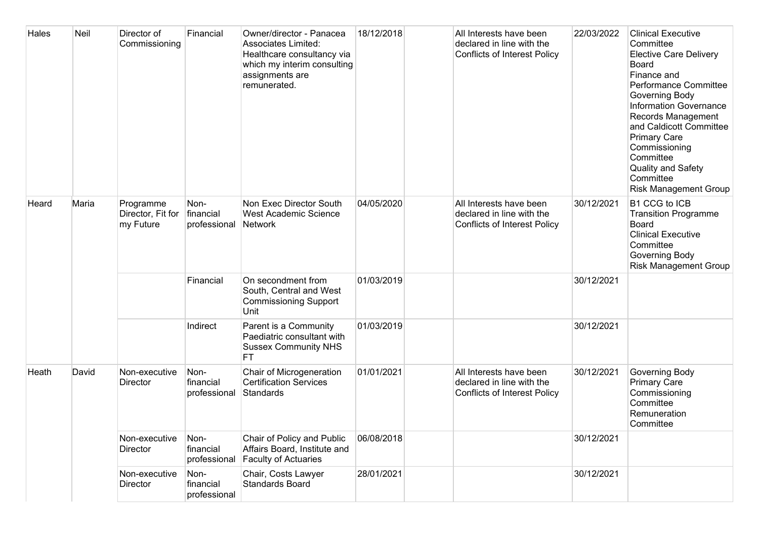| Hales | Neil  | Director of<br>Commissioning                | Financial                         | Owner/director - Panacea<br><b>Associates Limited:</b><br>Healthcare consultancy via<br>which my interim consulting<br>assignments are<br>remunerated. | 18/12/2018 | All Interests have been<br>declared in line with the<br><b>Conflicts of Interest Policy</b> | 22/03/2022 | <b>Clinical Executive</b><br>Committee<br><b>Elective Care Delivery</b><br>Board<br>Finance and<br>Performance Committee<br>Governing Body<br>Information Governance<br>Records Management<br>and Caldicott Committee<br><b>Primary Care</b><br>Commissioning<br>Committee<br><b>Quality and Safety</b><br>Committee<br><b>Risk Management Group</b> |
|-------|-------|---------------------------------------------|-----------------------------------|--------------------------------------------------------------------------------------------------------------------------------------------------------|------------|---------------------------------------------------------------------------------------------|------------|------------------------------------------------------------------------------------------------------------------------------------------------------------------------------------------------------------------------------------------------------------------------------------------------------------------------------------------------------|
| Heard | Maria | Programme<br>Director, Fit for<br>my Future | Non-<br>financial<br>professional | Non Exec Director South<br>West Academic Science<br>Network                                                                                            | 04/05/2020 | All Interests have been<br>declared in line with the<br><b>Conflicts of Interest Policy</b> | 30/12/2021 | B1 CCG to ICB<br><b>Transition Programme</b><br><b>Board</b><br><b>Clinical Executive</b><br>Committee<br>Governing Body<br><b>Risk Management Group</b>                                                                                                                                                                                             |
|       |       |                                             | Financial                         | On secondment from<br>South, Central and West<br><b>Commissioning Support</b><br>Unit                                                                  | 01/03/2019 |                                                                                             | 30/12/2021 |                                                                                                                                                                                                                                                                                                                                                      |
|       |       |                                             | Indirect                          | Parent is a Community<br>Paediatric consultant with<br><b>Sussex Community NHS</b><br><b>FT</b>                                                        | 01/03/2019 |                                                                                             | 30/12/2021 |                                                                                                                                                                                                                                                                                                                                                      |
| Heath | David | Non-executive<br>Director                   | Non-<br>financial<br>professional | Chair of Microgeneration<br><b>Certification Services</b><br>Standards                                                                                 | 01/01/2021 | All Interests have been<br>declared in line with the<br><b>Conflicts of Interest Policy</b> | 30/12/2021 | Governing Body<br><b>Primary Care</b><br>Commissioning<br>Committee<br>Remuneration<br>Committee                                                                                                                                                                                                                                                     |
|       |       | Non-executive<br>Director                   | Non-<br>financial<br>professional | Chair of Policy and Public<br>Affairs Board, Institute and<br>Faculty of Actuaries                                                                     | 06/08/2018 |                                                                                             | 30/12/2021 |                                                                                                                                                                                                                                                                                                                                                      |
|       |       | Non-executive<br>Director                   | Non-<br>financial<br>professional | Chair, Costs Lawyer<br><b>Standards Board</b>                                                                                                          | 28/01/2021 |                                                                                             | 30/12/2021 |                                                                                                                                                                                                                                                                                                                                                      |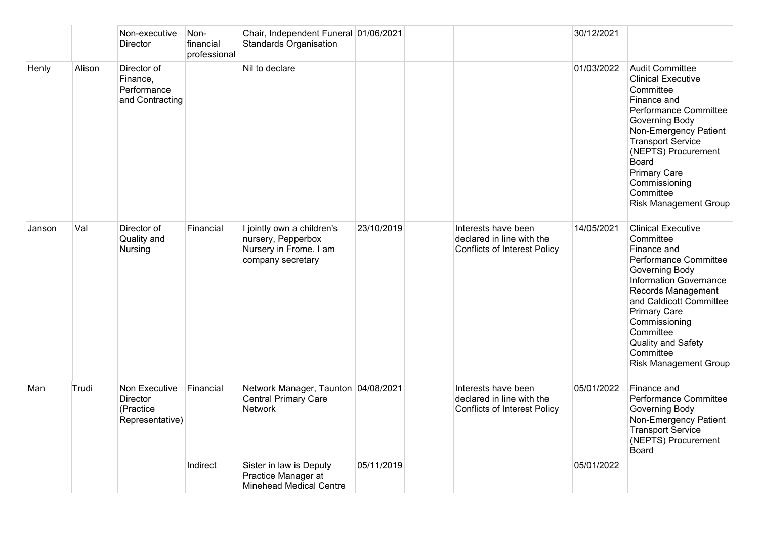|        |        | Non-executive<br>Director                                        | Non-<br>financial<br>professional | Chair, Independent Funeral 01/06/2021<br><b>Standards Organisation</b>                          |            |                                                                                         | 30/12/2021 |                                                                                                                                                                                                                                                                                                             |
|--------|--------|------------------------------------------------------------------|-----------------------------------|-------------------------------------------------------------------------------------------------|------------|-----------------------------------------------------------------------------------------|------------|-------------------------------------------------------------------------------------------------------------------------------------------------------------------------------------------------------------------------------------------------------------------------------------------------------------|
| Henly  | Alison | Director of<br>Finance,<br>Performance<br>and Contracting        |                                   | Nil to declare                                                                                  |            |                                                                                         | 01/03/2022 | <b>Audit Committee</b><br><b>Clinical Executive</b><br>Committee<br>Finance and<br>Performance Committee<br>Governing Body<br>Non-Emergency Patient<br><b>Transport Service</b><br>(NEPTS) Procurement<br><b>Board</b><br><b>Primary Care</b><br>Commissioning<br>Committee<br><b>Risk Management Group</b> |
| Janson | Val    | Director of<br>Quality and<br>Nursing                            | Financial                         | I jointly own a children's<br>nursery, Pepperbox<br>Nursery in Frome. I am<br>company secretary | 23/10/2019 | Interests have been<br>declared in line with the<br><b>Conflicts of Interest Policy</b> | 14/05/2021 | <b>Clinical Executive</b><br>Committee<br>Finance and<br>Performance Committee<br>Governing Body<br>Information Governance<br>Records Management<br>and Caldicott Committee<br><b>Primary Care</b><br>Commissioning<br>Committee<br>Quality and Safety<br>Committee<br><b>Risk Management Group</b>         |
| Man    | Trudi  | Non Executive<br><b>Director</b><br>(Practice<br>Representative) | Financial                         | Network Manager, Taunton 04/08/2021<br><b>Central Primary Care</b><br><b>Network</b>            |            | Interests have been<br>declared in line with the<br><b>Conflicts of Interest Policy</b> | 05/01/2022 | Finance and<br>Performance Committee<br>Governing Body<br>Non-Emergency Patient<br><b>Transport Service</b><br>(NEPTS) Procurement<br><b>Board</b>                                                                                                                                                          |
|        |        |                                                                  | Indirect                          | Sister in law is Deputy<br>Practice Manager at<br><b>Minehead Medical Centre</b>                | 05/11/2019 |                                                                                         | 05/01/2022 |                                                                                                                                                                                                                                                                                                             |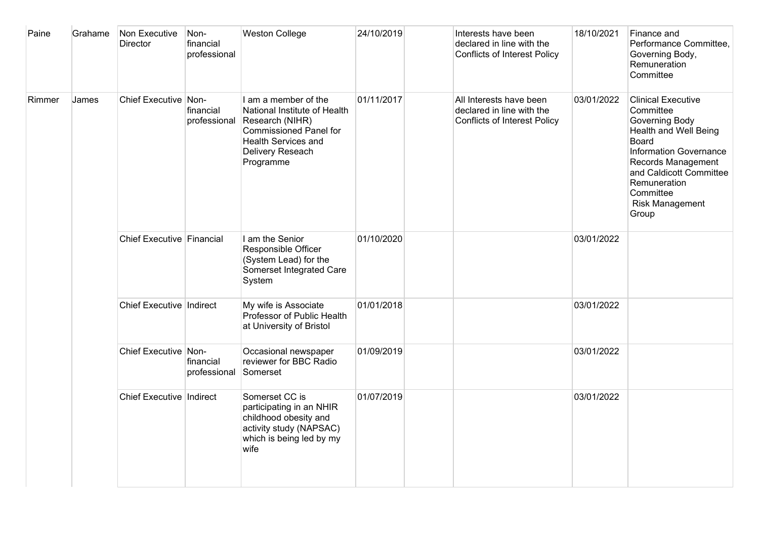| Paine  | Grahame | Non Executive<br>Director  | Non-<br>financial<br>professional | <b>Weston College</b>                                                                                                                                                   | 24/10/2019 | Interests have been<br>declared in line with the<br><b>Conflicts of Interest Policy</b>     | 18/10/2021 | Finance and<br>Performance Committee,<br>Governing Body,<br>Remuneration<br>Committee                                                                                                                                                               |
|--------|---------|----------------------------|-----------------------------------|-------------------------------------------------------------------------------------------------------------------------------------------------------------------------|------------|---------------------------------------------------------------------------------------------|------------|-----------------------------------------------------------------------------------------------------------------------------------------------------------------------------------------------------------------------------------------------------|
| Rimmer | James   | Chief Executive Non-       | financial<br>professional         | I am a member of the<br>National Institute of Health<br>Research (NIHR)<br><b>Commissioned Panel for</b><br><b>Health Services and</b><br>Delivery Reseach<br>Programme | 01/11/2017 | All Interests have been<br>declared in line with the<br><b>Conflicts of Interest Policy</b> | 03/01/2022 | <b>Clinical Executive</b><br>Committee<br>Governing Body<br><b>Health and Well Being</b><br>Board<br><b>Information Governance</b><br>Records Management<br>and Caldicott Committee<br>Remuneration<br>Committee<br><b>Risk Management</b><br>Group |
|        |         | Chief Executive Financial  |                                   | I am the Senior<br>Responsible Officer<br>(System Lead) for the<br>Somerset Integrated Care<br>System                                                                   | 01/10/2020 |                                                                                             | 03/01/2022 |                                                                                                                                                                                                                                                     |
|        |         | Chief Executive Indirect   |                                   | My wife is Associate<br>Professor of Public Health<br>at University of Bristol                                                                                          | 01/01/2018 |                                                                                             | 03/01/2022 |                                                                                                                                                                                                                                                     |
|        |         | Chief Executive Non-       | financial<br>professional         | Occasional newspaper<br>reviewer for BBC Radio<br>Somerset                                                                                                              | 01/09/2019 |                                                                                             | 03/01/2022 |                                                                                                                                                                                                                                                     |
|        |         | Chief Executive   Indirect |                                   | Somerset CC is<br>participating in an NHIR<br>childhood obesity and<br>activity study (NAPSAC)<br>which is being led by my<br>wife                                      | 01/07/2019 |                                                                                             | 03/01/2022 |                                                                                                                                                                                                                                                     |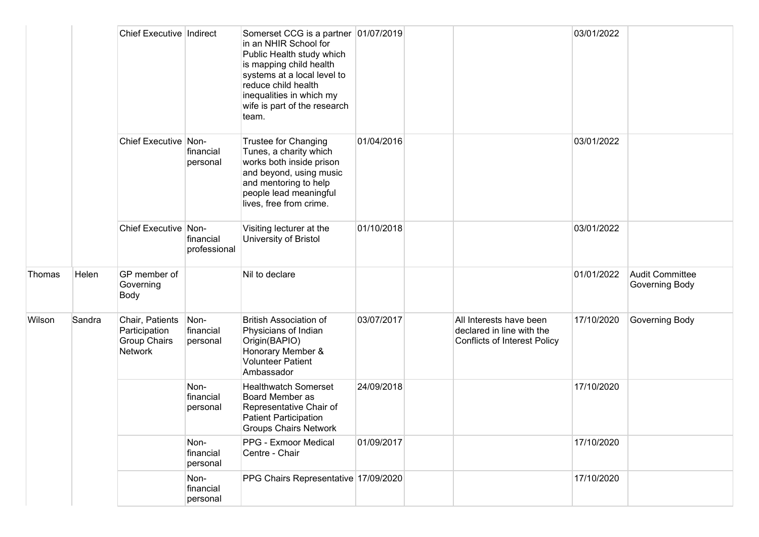|        |        | Chief Executive   Indirect                                         |                               | Somerset CCG is a partner 01/07/2019<br>in an NHIR School for<br>Public Health study which<br>is mapping child health<br>systems at a local level to<br>reduce child health<br>inequalities in which my<br>wife is part of the research<br>team. |            |                                                                                             | 03/01/2022 |                                          |
|--------|--------|--------------------------------------------------------------------|-------------------------------|--------------------------------------------------------------------------------------------------------------------------------------------------------------------------------------------------------------------------------------------------|------------|---------------------------------------------------------------------------------------------|------------|------------------------------------------|
|        |        | Chief Executive Non-                                               | financial<br>personal         | Trustee for Changing<br>Tunes, a charity which<br>works both inside prison<br>and beyond, using music<br>and mentoring to help<br>people lead meaningful<br>lives, free from crime.                                                              | 01/04/2016 |                                                                                             | 03/01/2022 |                                          |
|        |        | Chief Executive Non-                                               | financial<br>professional     | Visiting lecturer at the<br>University of Bristol                                                                                                                                                                                                | 01/10/2018 |                                                                                             | 03/01/2022 |                                          |
| Thomas | Helen  | GP member of<br>Governing<br>Body                                  |                               | Nil to declare                                                                                                                                                                                                                                   |            |                                                                                             | 01/01/2022 | <b>Audit Committee</b><br>Governing Body |
| Wilson | Sandra | Chair, Patients<br>Participation<br><b>Group Chairs</b><br>Network | Non-<br>financial<br>personal | <b>British Association of</b><br>Physicians of Indian<br>Origin(BAPIO)<br>Honorary Member &<br><b>Volunteer Patient</b><br>Ambassador                                                                                                            | 03/07/2017 | All Interests have been<br>declared in line with the<br><b>Conflicts of Interest Policy</b> | 17/10/2020 | Governing Body                           |
|        |        |                                                                    | Non-<br>financial<br>personal | <b>Healthwatch Somerset</b><br>Board Member as<br>Representative Chair of<br><b>Patient Participation</b><br><b>Groups Chairs Network</b>                                                                                                        | 24/09/2018 |                                                                                             | 17/10/2020 |                                          |
|        |        |                                                                    | Non-<br>financial<br>personal | PPG - Exmoor Medical<br>Centre - Chair                                                                                                                                                                                                           | 01/09/2017 |                                                                                             | 17/10/2020 |                                          |
|        |        |                                                                    | Non-<br>financial<br>personal | PPG Chairs Representative 17/09/2020                                                                                                                                                                                                             |            |                                                                                             | 17/10/2020 |                                          |